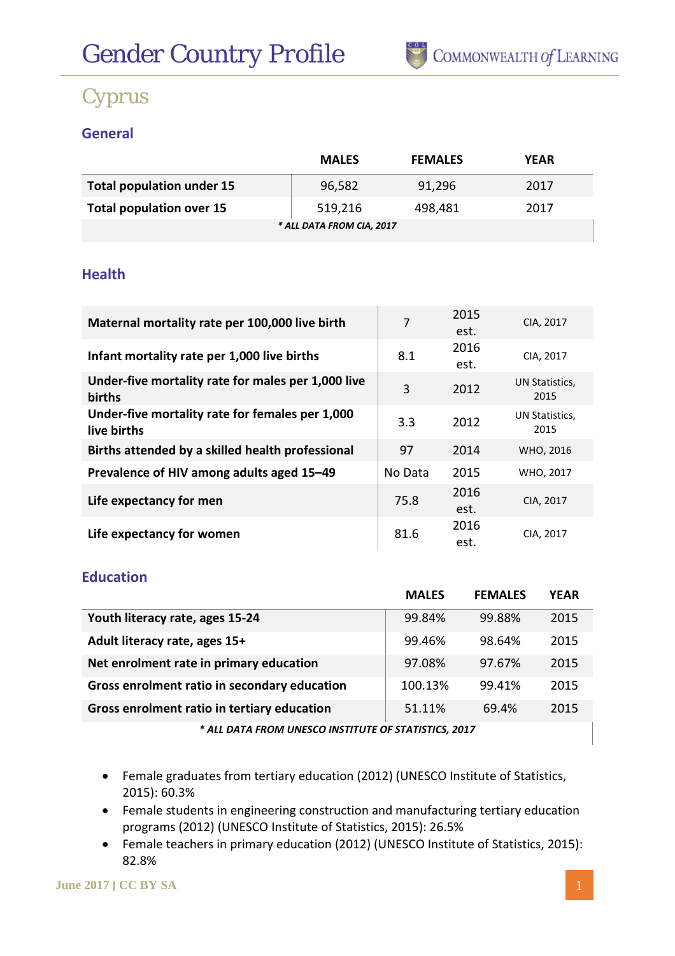

### **General**

|                                  | <b>MALES</b> | <b>FEMALES</b> | <b>YEAR</b> |  |  |  |  |
|----------------------------------|--------------|----------------|-------------|--|--|--|--|
| <b>Total population under 15</b> | 96,582       | 91,296         | 2017        |  |  |  |  |
| <b>Total population over 15</b>  | 519,216      | 498,481        | 2017        |  |  |  |  |
| * ALL DATA FROM CIA, 2017        |              |                |             |  |  |  |  |

#### **Health**

| Maternal mortality rate per 100,000 live birth                 | 7       | 2015<br>est. | CIA, 2017              |
|----------------------------------------------------------------|---------|--------------|------------------------|
| Infant mortality rate per 1,000 live births                    | 8.1     | 2016<br>est. | CIA, 2017              |
| Under-five mortality rate for males per 1,000 live<br>births   | 3       | 2012         | UN Statistics,<br>2015 |
| Under-five mortality rate for females per 1,000<br>live births | 3.3     | 2012         | UN Statistics,<br>2015 |
| Births attended by a skilled health professional               | 97      | 2014         | WHO, 2016              |
| Prevalence of HIV among adults aged 15-49                      | No Data | 2015         | WHO, 2017              |
| Life expectancy for men                                        | 75.8    | 2016<br>est. | CIA, 2017              |
| Life expectancy for women                                      | 81.6    | 2016<br>est. | CIA, 2017              |

### **Education**

|                                              | <b>MALES</b> | <b>FEMALES</b> | <b>YEAR</b> |  |
|----------------------------------------------|--------------|----------------|-------------|--|
| Youth literacy rate, ages 15-24              | 99.84%       | 99.88%         | 2015        |  |
| Adult literacy rate, ages 15+                | 99.46%       | 98.64%         | 2015        |  |
| Net enrolment rate in primary education      | 97.08%       | 97.67%         | 2015        |  |
| Gross enrolment ratio in secondary education | 100.13%      | 99.41%         | 2015        |  |
| Gross enrolment ratio in tertiary education  | 51.11%       | 69.4%          | 2015        |  |
|                                              |              |                |             |  |

*\* ALL DATA FROM UNESCO INSTITUTE OF STATISTICS, 2017*

- Female graduates from tertiary education (2012) (UNESCO Institute of Statistics, 2015): 60.3%
- Female students in engineering construction and manufacturing tertiary education programs (2012) (UNESCO Institute of Statistics, 2015): 26.5%
- Female teachers in primary education (2012) (UNESCO Institute of Statistics, 2015): 82.8%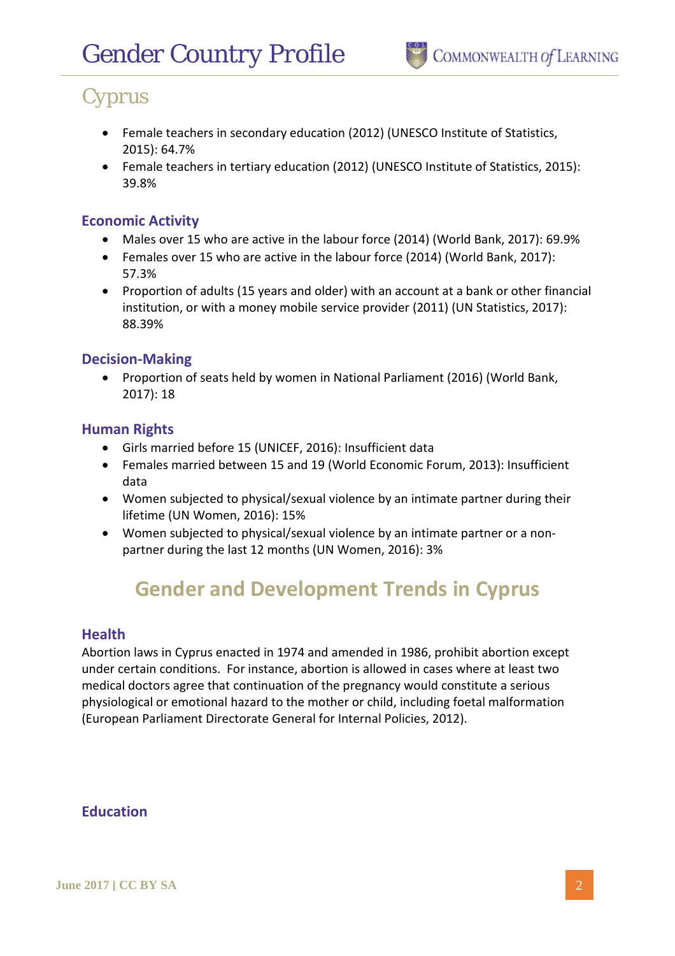- Female teachers in secondary education (2012) (UNESCO Institute of Statistics, 2015): 64.7%
- Female teachers in tertiary education (2012) (UNESCO Institute of Statistics, 2015): 39.8%

#### **Economic Activity**

- Males over 15 who are active in the labour force (2014) (World Bank, 2017): 69.9%
- Females over 15 who are active in the labour force (2014) (World Bank, 2017): 57.3%
- Proportion of adults (15 years and older) with an account at a bank or other financial institution, or with a money mobile service provider (2011) (UN Statistics, 2017): 88.39%

#### **Decision-Making**

• Proportion of seats held by women in National Parliament (2016) (World Bank, 2017): 18

#### **Human Rights**

- Girls married before 15 (UNICEF, 2016): Insufficient data
- Females married between 15 and 19 (World Economic Forum, 2013): Insufficient data
- Women subjected to physical/sexual violence by an intimate partner during their lifetime (UN Women, 2016): 15%
- Women subjected to physical/sexual violence by an intimate partner or a nonpartner during the last 12 months (UN Women, 2016): 3%

# **Gender and Development Trends in Cyprus**

#### **Health**

Abortion laws in Cyprus enacted in 1974 and amended in 1986, prohibit abortion except under certain conditions. For instance, abortion is allowed in cases where at least two medical doctors agree that continuation of the pregnancy would constitute a serious physiological or emotional hazard to the mother or child, including foetal malformation (European Parliament Directorate General for Internal Policies, 2012).

#### **Education**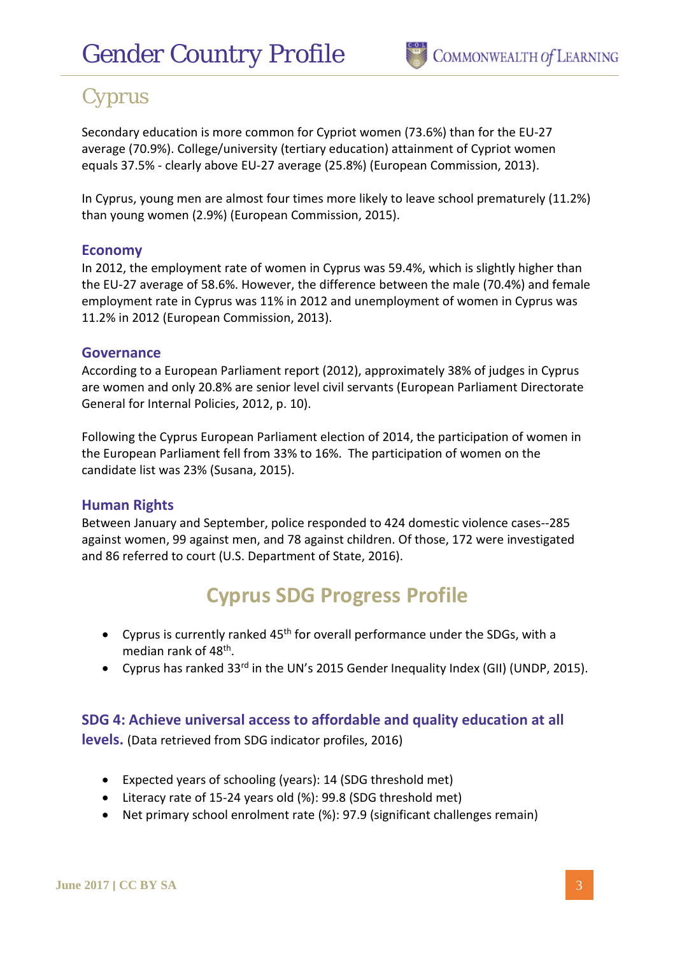Secondary education is more common for Cypriot women (73.6%) than for the EU-27 average (70.9%). College/university (tertiary education) attainment of Cypriot women equals 37.5% - clearly above EU-27 average (25.8%) (European Commission, 2013).

In Cyprus, young men are almost four times more likely to leave school prematurely (11.2%) than young women (2.9%) (European Commission, 2015).

#### **Economy**

In 2012, the employment rate of women in Cyprus was 59.4%, which is slightly higher than the EU-27 average of 58.6%. However, the difference between the male (70.4%) and female employment rate in Cyprus was 11% in 2012 and unemployment of women in Cyprus was 11.2% in 2012 (European Commission, 2013).

#### **Governance**

According to a European Parliament report (2012), approximately 38% of judges in Cyprus are women and only 20.8% are senior level civil servants (European Parliament Directorate General for Internal Policies, 2012, p. 10).

Following the Cyprus European Parliament election of 2014, the participation of women in the European Parliament fell from 33% to 16%. The participation of women on the candidate list was 23% (Susana, 2015).

#### **Human Rights**

Between January and September, police responded to 424 domestic violence cases--285 against women, 99 against men, and 78 against children. Of those, 172 were investigated and 86 referred to court (U.S. Department of State, 2016).

### **Cyprus SDG Progress Profile**

- Cyprus is currently ranked  $45<sup>th</sup>$  for overall performance under the SDGs, with a median rank of 48th.
- Cyprus has ranked 33<sup>rd</sup> in the UN's 2015 Gender Inequality Index (GII) (UNDP, 2015).

#### **SDG 4: Achieve universal access to affordable and quality education at all**

**levels.** (Data retrieved from SDG indicator profiles, 2016)

- Expected years of schooling (years): 14 (SDG threshold met)
- Literacy rate of 15-24 years old (%): 99.8 (SDG threshold met)
- Net primary school enrolment rate (%): 97.9 (significant challenges remain)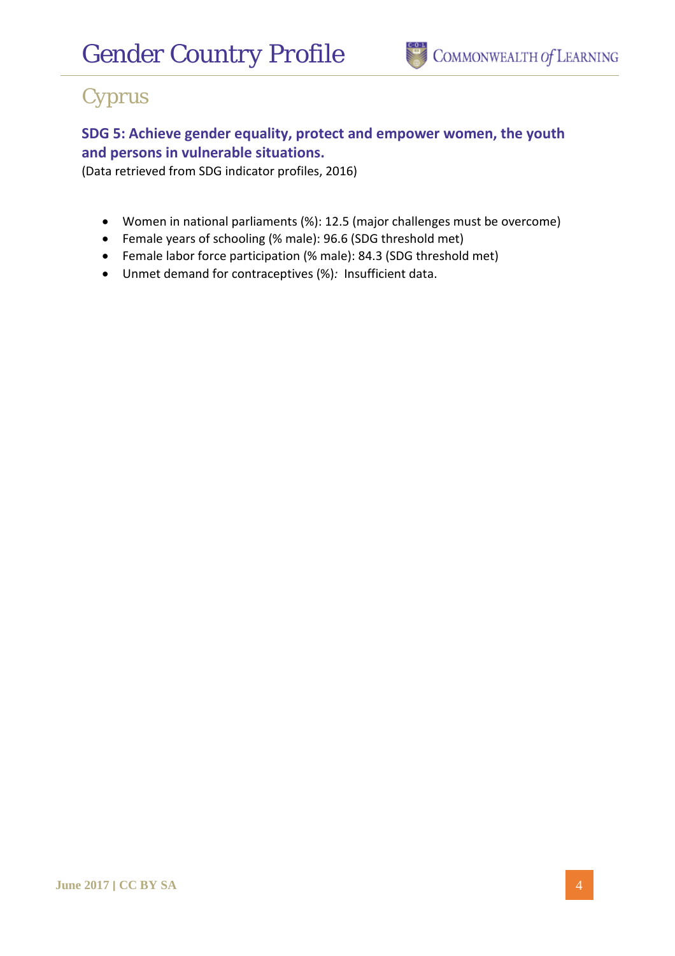

### **SDG 5: Achieve gender equality, protect and empower women, the youth and persons in vulnerable situations.**

(Data retrieved from SDG indicator profiles, 2016)

- Women in national parliaments (%): 12.5 (major challenges must be overcome)
- Female years of schooling (% male): 96.6 (SDG threshold met)
- Female labor force participation (% male): 84.3 (SDG threshold met)
- Unmet demand for contraceptives (%)*:* Insufficient data.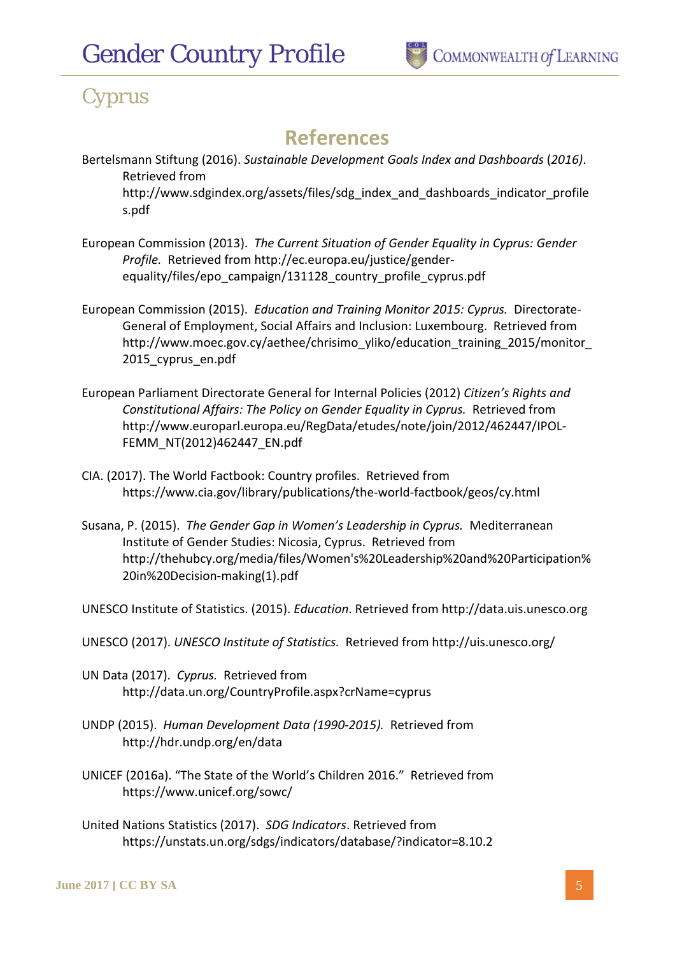### **References**

- Bertelsmann Stiftung (2016). *Sustainable Development Goals Index and Dashboards* (*2016)*. Retrieved from http://www.sdgindex.org/assets/files/sdg\_index\_and\_dashboards\_indicator\_profile s.pdf
- European Commission (2013). *The Current Situation of Gender Equality in Cyprus: Gender Profile.* Retrieved from http://ec.europa.eu/justice/genderequality/files/epo\_campaign/131128\_country\_profile\_cyprus.pdf
- European Commission (2015). *Education and Training Monitor 2015: Cyprus.* Directorate-General of Employment, Social Affairs and Inclusion: Luxembourg. Retrieved from http://www.moec.gov.cy/aethee/chrisimo\_yliko/education\_training\_2015/monitor\_ 2015 cyprus en.pdf
- European Parliament Directorate General for Internal Policies (2012) *Citizen's Rights and Constitutional Affairs: The Policy on Gender Equality in Cyprus.* Retrieved from http://www.europarl.europa.eu/RegData/etudes/note/join/2012/462447/IPOL-FEMM\_NT(2012)462447\_EN.pdf
- CIA. (2017). The World Factbook: Country profiles. Retrieved from https://www.cia.gov/library/publications/the-world-factbook/geos/cy.html
- Susana, P. (2015). *The Gender Gap in Women's Leadership in Cyprus.* Mediterranean Institute of Gender Studies: Nicosia, Cyprus. Retrieved from http://thehubcy.org/media/files/Women's%20Leadership%20and%20Participation% 20in%20Decision-making(1).pdf

UNESCO Institute of Statistics. (2015). *Education*. Retrieved from http://data.uis.unesco.org

- UNESCO (2017). *UNESCO Institute of Statistics.* Retrieved from http://uis.unesco.org/
- UN Data (2017). *Cyprus.* Retrieved from http://data.un.org/CountryProfile.aspx?crName=cyprus
- UNDP (2015). *Human Development Data (1990-2015).* Retrieved from http://hdr.undp.org/en/data
- UNICEF (2016a). "The State of the World's Children 2016." Retrieved from https://www.unicef.org/sowc/
- United Nations Statistics (2017). *SDG Indicators*. Retrieved from https://unstats.un.org/sdgs/indicators/database/?indicator=8.10.2